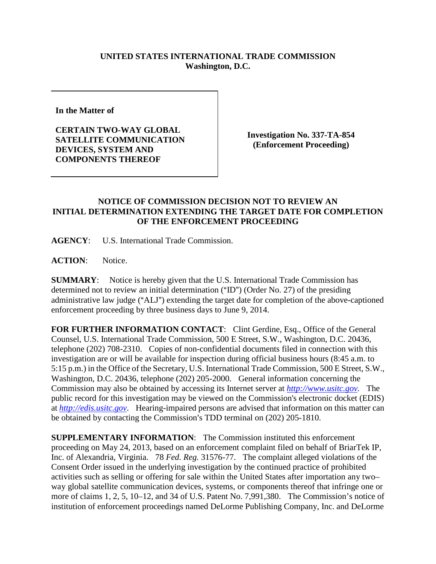## **UNITED STATES INTERNATIONAL TRADE COMMISSION Washington, D.C.**

**In the Matter of** 

**CERTAIN TWO-WAY GLOBAL SATELLITE COMMUNICATION DEVICES, SYSTEM AND COMPONENTS THEREOF**

**Investigation No. 337-TA-854 (Enforcement Proceeding)**

## **NOTICE OF COMMISSION DECISION NOT TO REVIEW AN INITIAL DETERMINATION EXTENDING THE TARGET DATE FOR COMPLETION OF THE ENFORCEMENT PROCEEDING**

**AGENCY**: U.S. International Trade Commission.

**ACTION**: Notice.

**SUMMARY**: Notice is hereby given that the U.S. International Trade Commission has determined not to review an initial determination ( $\text{ID}$ ") (Order No. 27) of the presiding administrative law judge ("ALJ") extending the target date for completion of the above-captioned enforcement proceeding by three business days to June 9, 2014.

FOR FURTHER INFORMATION CONTACT: Clint Gerdine, Esq., Office of the General Counsel, U.S. International Trade Commission, 500 E Street, S.W., Washington, D.C. 20436, telephone (202) 708-2310. Copies of non-confidential documents filed in connection with this investigation are or will be available for inspection during official business hours (8:45 a.m. to 5:15 p.m.) in the Office of the Secretary, U.S. International Trade Commission, 500 E Street, S.W., Washington, D.C. 20436, telephone (202) 205-2000. General information concerning the Commission may also be obtained by accessing its Internet server at *[http://www.usitc.gov.](http://www.usitc.gov/)* The public record for this investigation may be viewed on the Commission's electronic docket (EDIS) at *[http://edis.usitc.gov](http://edis.usitc.gov/)*. Hearing-impaired persons are advised that information on this matter can be obtained by contacting the Commission's TDD terminal on (202) 205-1810.

**SUPPLEMENTARY INFORMATION**: The Commission instituted this enforcement proceeding on May 24, 2013, based on an enforcement complaint filed on behalf of BriarTek IP, Inc. of Alexandria, Virginia. 78 *Fed. Reg.* 31576-77. The complaint alleged violations of the Consent Order issued in the underlying investigation by the continued practice of prohibited activities such as selling or offering for sale within the United States after importation any two– way global satellite communication devices, systems, or components thereof that infringe one or more of claims 1, 2, 5, 10–12, and 34 of U.S. Patent No. 7,991,380. The Commission's notice of institution of enforcement proceedings named DeLorme Publishing Company, Inc. and DeLorme